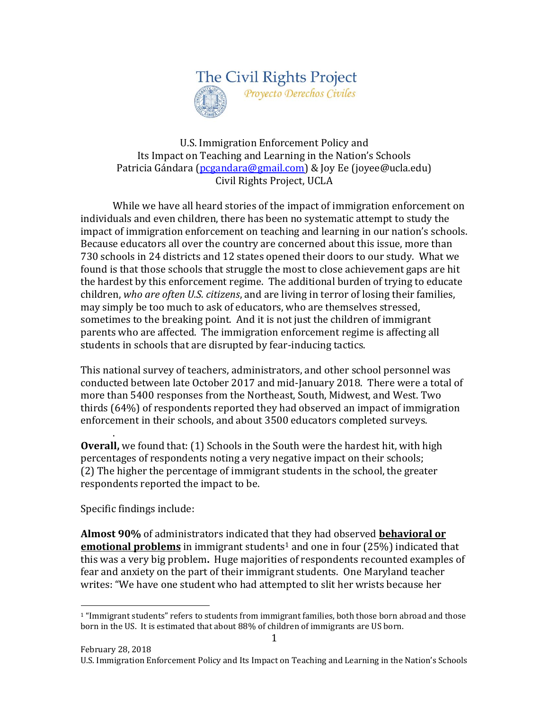

## U.S. Immigration Enforcement Policy and Its Impact on Teaching and Learning in the Nation's Schools Patricia Gándara [\(pcgandara@gmail.com\)](mailto:pcgandara@gmail.com) & Joy Ee (joyee@ucla.edu) Civil Rights Project, UCLA

While we have all heard stories of the impact of immigration enforcement on individuals and even children, there has been no systematic attempt to study the impact of immigration enforcement on teaching and learning in our nation's schools. Because educators all over the country are concerned about this issue, more than 730 schools in 24 districts and 12 states opened their doors to our study. What we found is that those schools that struggle the most to close achievement gaps are hit the hardest by this enforcement regime. The additional burden of trying to educate children, *who are often U.S. citizens*, and are living in terror of losing their families, may simply be too much to ask of educators, who are themselves stressed, sometimes to the breaking point. And it is not just the children of immigrant parents who are affected. The immigration enforcement regime is affecting all students in schools that are disrupted by fear-inducing tactics.

This national survey of teachers, administrators, and other school personnel was conducted between late October 2017 and mid-January 2018. There were a total of more than 5400 responses from the Northeast, South, Midwest, and West. Two thirds (64%) of respondents reported they had observed an impact of immigration enforcement in their schools, and about 3500 educators completed surveys.

. **Overall,** we found that: (1) Schools in the South were the hardest hit, with high percentages of respondents noting a very negative impact on their schools; (2) The higher the percentage of immigrant students in the school, the greater respondents reported the impact to be.

## Specific findings include:

 $\overline{a}$ 

**Almost 90%** of administrators indicated that they had observed **behavioral or emotional problems** in immigrant students<sup>1</sup> and one in four (25%) indicated that this was a very big problem**.** Huge majorities of respondents recounted examples of fear and anxiety on the part of their immigrant students. One Maryland teacher writes: "We have one student who had attempted to slit her wrists because her

<sup>&</sup>lt;sup>1</sup> "Immigrant students" refers to students from immigrant families, both those born abroad and those born in the US. It is estimated that about 88% of children of immigrants are US born.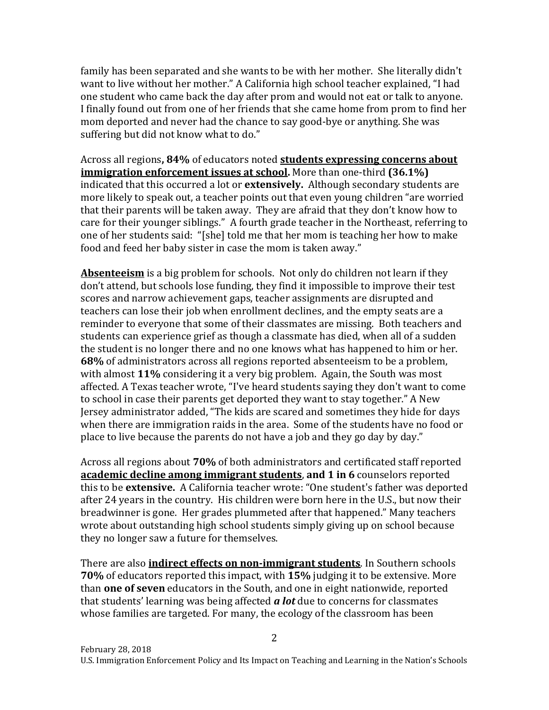family has been separated and she wants to be with her mother. She literally didn't want to live without her mother." A California high school teacher explained, "I had one student who came back the day after prom and would not eat or talk to anyone. I finally found out from one of her friends that she came home from prom to find her mom deported and never had the chance to say good-bye or anything. She was suffering but did not know what to do."

Across all regions**, 84%** of educators noted **students expressing concerns about immigration enforcement issues at school.** More than one-third **(36.1%)**  indicated that this occurred a lot or **extensively.** Although secondary students are more likely to speak out, a teacher points out that even young children "are worried that their parents will be taken away. They are afraid that they don't know how to care for their younger siblings." A fourth grade teacher in the Northeast, referring to one of her students said: "[she] told me that her mom is teaching her how to make food and feed her baby sister in case the mom is taken away."

**Absenteeism** is a big problem for schools. Not only do children not learn if they don't attend, but schools lose funding, they find it impossible to improve their test scores and narrow achievement gaps, teacher assignments are disrupted and teachers can lose their job when enrollment declines, and the empty seats are a reminder to everyone that some of their classmates are missing. Both teachers and students can experience grief as though a classmate has died, when all of a sudden the student is no longer there and no one knows what has happened to him or her. **68%** of administrators across all regions reported absenteeism to be a problem, with almost **11%** considering it a very big problem. Again, the South was most affected. A Texas teacher wrote, "I've heard students saying they don't want to come to school in case their parents get deported they want to stay together." A New Jersey administrator added, "The kids are scared and sometimes they hide for days when there are immigration raids in the area. Some of the students have no food or place to live because the parents do not have a job and they go day by day."

Across all regions about **70%** of both administrators and certificated staff reported **academic decline among immigrant students**, **and 1 in 6** counselors reported this to be **extensive.** A California teacher wrote: "One student's father was deported after 24 years in the country. His children were born here in the U.S., but now their breadwinner is gone. Her grades plummeted after that happened." Many teachers wrote about outstanding high school students simply giving up on school because they no longer saw a future for themselves.

There are also **indirect effects on non-immigrant students**. In Southern schools **70%** of educators reported this impact, with **15%** judging it to be extensive. More than **one of seven** educators in the South, and one in eight nationwide, reported that students' learning was being affected *a lot* due to concerns for classmates whose families are targeted. For many, the ecology of the classroom has been